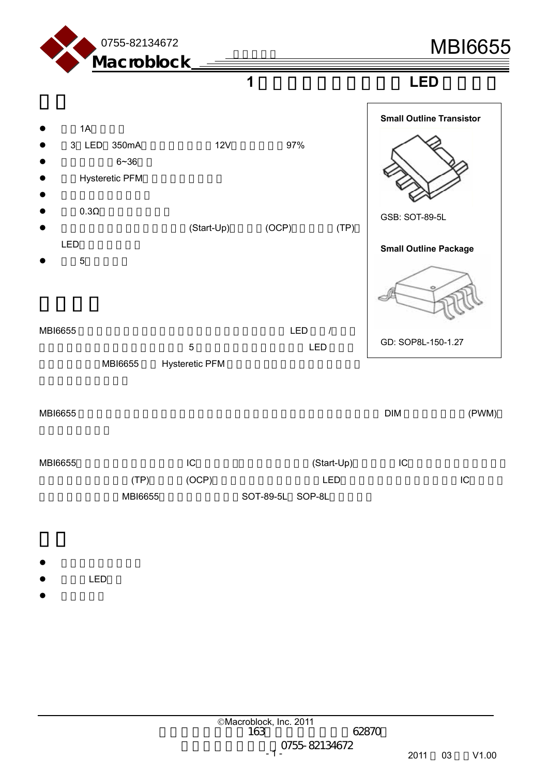

**1** 安培,高效率之降压式 **LED** 驱动芯片

 $1A$ z 3 LED 350mA电流,输入电压为12V时的效率可达97%  $6 - 36$ ● Hysteretic PFM  $\bullet$  $0.3Ω$ (Start-Up) (OCP) (TP) LED  $\bullet$  5  $MBI6655$   $LED$   $/$  $\sim$  5  $\sim$  LED  $\sim$ MBI6655 Hysteretic PFM  $\mathsf{MBI6655} \hspace{1.5cm} \mathsf{PWM} \hspace{1.5cm} \mathsf{M} \hspace{1.5cm} \mathsf{N} \hspace{1.5cm} \mathsf{M} \hspace{1.5cm} \mathsf{N} \hspace{1.5cm} \mathsf{M} \hspace{1.5cm} \mathsf{N} \mathsf{M} \hspace{1.5cm} \mathsf{N} \mathsf{N} \mathsf{M} \hspace{1.5cm} \mathsf{N} \mathsf{N} \mathsf{N} \mathsf{N} \mathsf{N} \mathsf{N} \mathsf{N} \mathsf{N} \mathsf{N} \mathsf{N} \$ GSB: SOT-89-5L **Small Outline Transistor Small Outline Package**  GD: SOP8L-150-1.27

MBI6655 IC (Start-Up) IC  $(TP)$  (OCP) LED LC MBI6655 SOT-89-5L SOP-8L

- $\bullet$
- LED
- $\bullet$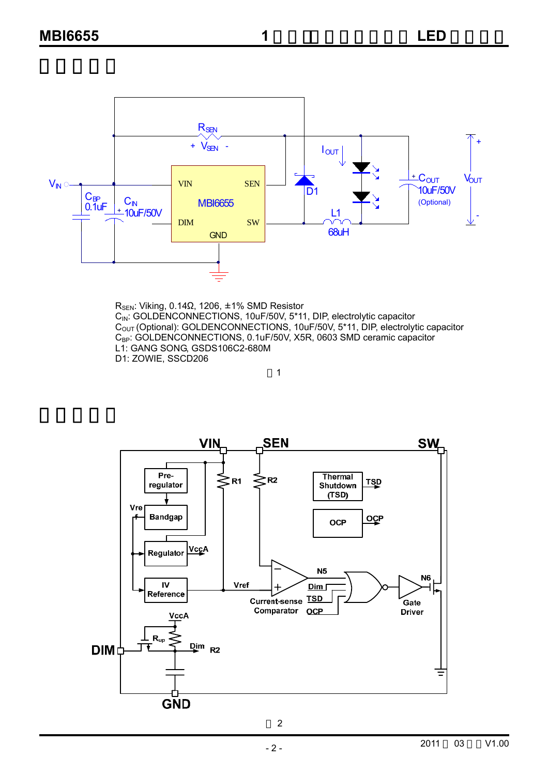

R<sub>SEN</sub>: Viking, 0.14Ω, 1206, ±1% SMD Resistor C<sub>IN</sub>: GOLDENCONNECTIONS, 10uF/50V, 5\*11, DIP, electrolytic capacitor  $C<sub>OUT</sub>$  (Optional): GOLDENCONNECTIONS, 10uF/50V, 5\*11, DIP, electrolytic capacitor C<sub>BP</sub>: GOLDENCONNECTIONS, 0.1uF/50V, X5R, 0603 SMD ceramic capacitor L1: GANG SONG, GSDS106C2-680M D1: ZOWIE, SSCD206

1



2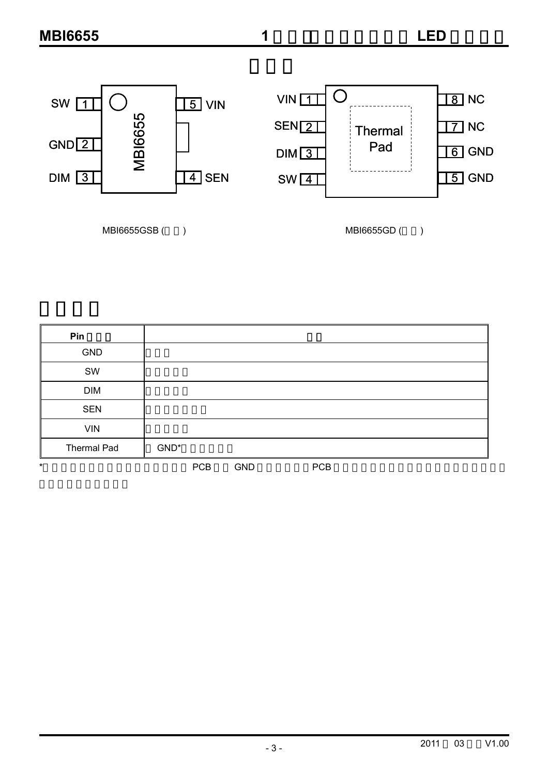

MBI6655GSB ( ) MBI6655GD ( )

| Pin         |            |            |            |  |
|-------------|------------|------------|------------|--|
| <b>GND</b>  |            |            |            |  |
| SW          |            |            |            |  |
| <b>DIM</b>  |            |            |            |  |
| <b>SEN</b>  |            |            |            |  |
| <b>VIN</b>  |            |            |            |  |
| Thermal Pad | GND*       |            |            |  |
|             | <b>PCB</b> | <b>GND</b> | <b>PCB</b> |  |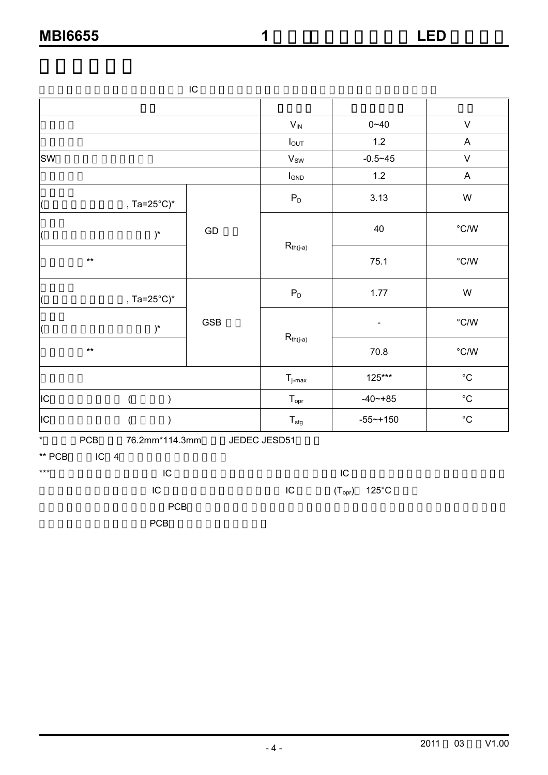|                          |                                  | IC         |                             |              |                   |
|--------------------------|----------------------------------|------------|-----------------------------|--------------|-------------------|
|                          |                                  |            |                             |              |                   |
|                          |                                  |            | $V_{\text{IN}}$             | $0 - 40$     | $\mathsf{V}$      |
|                          |                                  |            | $I_{OUT}$                   | $1.2$        | A                 |
| <b>SW</b>                |                                  |            | $\mathsf{V}_\mathsf{SW}$    | $-0.5 - 45$  | $\sf V$           |
|                          |                                  |            | $I_{GND}$                   | $1.2$        | $\mathsf{A}$      |
| (                        | , Ta=25 $^{\circ}$ C) $^{\star}$ |            | $\mathsf{P}_\mathsf{D}$     | 3.13         | W                 |
| $\overline{\mathcal{L}}$ | $)^{\ast}$                       | ${\sf GD}$ |                             | 40           | $^{\circ}$ C/W    |
| $\star\star$             |                                  |            | $R_{\text{th}(j\text{-}a)}$ | 75.1         | $^{\circ}$ C/W    |
|                          | , Ta=25°C)*                      |            | $\mathsf{P}_\mathsf{D}$     | 1.77         | W                 |
|                          | $)^{\ast}$                       | <b>GSB</b> |                             |              | $^{\circ}$ C/W    |
| $^{\star\star}$          |                                  |            | $R_{\text{th}(j\text{-}a)}$ | 70.8         | $^{\circ}$ C/W    |
|                          |                                  |            | $T_{j,max}$                 | 125***       | $^{\circ}{\rm C}$ |
| <b>I</b> IC              | $\overline{(}$<br>$\lambda$      |            | $T_{\text{opr}}$            | $-40 - +85$  | $^{\circ}{\rm C}$ |
| IC                       |                                  |            | $\mathsf{T}_{\text{stg}}$   | $-55 - +150$ | $^{\circ}{\rm C}$ |
| $\star$<br>PCB           | 76.2mm*114.3mm                   |            | JEDEC JESD51                |              |                   |

 $**$  PCB IC 4

| *** | IC         |    | IC |                                     |  |
|-----|------------|----|----|-------------------------------------|--|
|     | IC         | IC |    | $(\mathsf{T}_{\mathsf{opr}})$ 125°C |  |
|     | <b>PCB</b> |    |    |                                     |  |
|     | <b>PCB</b> |    |    |                                     |  |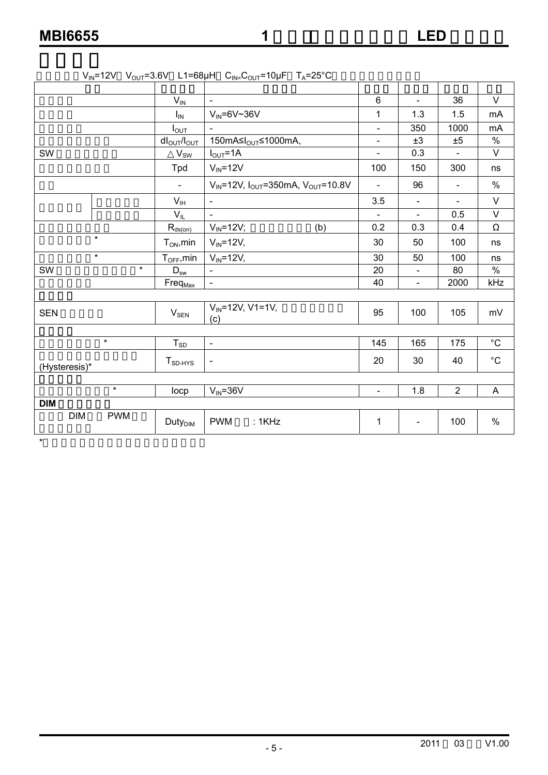$\star$ 

| Y IN.         |            |                                  | $12V$ v <sub>OUI</sub> 0.0V LI 00 $\mu$ II $O_{IN} = O_{OUT}$ 10 $\mu$ I<br>$A$ 200 |                          |                |                |                   |
|---------------|------------|----------------------------------|-------------------------------------------------------------------------------------|--------------------------|----------------|----------------|-------------------|
|               |            |                                  |                                                                                     |                          |                |                |                   |
|               |            | $V_{IN}$                         | $\blacksquare$                                                                      | $\,6\,$                  | $\blacksquare$ | 36             | $\vee$            |
|               |            | $I_{IN}$                         | $V_{IN} = 6V \sim 36V$                                                              | 1                        | 1.3            | 1.5            | mA                |
|               |            | $I_{\text{OUT}}$                 | $\overline{a}$                                                                      | $\overline{\phantom{a}}$ | 350            | 1000           | mA                |
|               |            | $dl_{\text{OUT}}/l_{\text{OUT}}$ | 150mA≤I <sub>OUT</sub> ≤1000mA,                                                     |                          | ±3             | ±5             | $\%$              |
| SW            |            | $V_{\underline{\text{SW}}}$      | $I_{OUT} = 1A$                                                                      | $\overline{a}$           | 0.3            |                | $\vee$            |
|               |            | Tpd                              | $V_{IN} = 12V$                                                                      | 100                      | 150            | 300            | ns                |
|               |            | $\blacksquare$                   | $V_{IN}$ =12V, $I_{OUT}$ =350mA, $V_{OUT}$ =10.8V                                   | $\blacksquare$           | 96             | $\blacksquare$ | $\%$              |
|               |            | $V_{\text{IH}}$                  |                                                                                     | 3.5                      |                | $\blacksquare$ | $\vee$            |
|               |            | $V_{IL}$                         |                                                                                     |                          | $\blacksquare$ | 0.5            | $\vee$            |
|               |            | $R_{\underline{ds}(on)}$         | $V_{IN} = 12V$ ;<br>(b)                                                             | 0.2                      | 0.3            | 0.4            | Ω                 |
|               | $\star$    | $T_{ON}$ , min                   | $V_{IN}$ =12 $V$ ,                                                                  | 30                       | 50             | 100            | ns                |
|               | $\star$    | $T_{\text{OFF}}$ , min           | $V_{IN} = 12V,$                                                                     | 30                       | 50             | 100            | ns                |
| SW            | $\star$    | $D_{sw}$                         | $\blacksquare$                                                                      | 20                       | $\blacksquare$ | 80             | $\%$              |
|               |            | Freq <sub>Max</sub>              |                                                                                     | 40                       | $\blacksquare$ | 2000           | kHz               |
|               |            |                                  |                                                                                     |                          |                |                |                   |
| <b>SEN</b>    |            | $V_{SEN}$                        | $V_{IN} = 12V$ , V1=1V,<br>(c)                                                      | 95                       | 100            | 105            | mV                |
|               |            |                                  |                                                                                     |                          |                |                |                   |
|               | $\star$    | $T_{SD}$                         | $\blacksquare$                                                                      | 145                      | 165            | 175            | $^{\circ}C$       |
| (Hysteresis)* |            | $T_{SD-HYS}$                     | $\overline{\phantom{a}}$                                                            | 20                       | 30             | 40             | $^{\circ}{\rm C}$ |
|               |            |                                  |                                                                                     |                          |                |                |                   |
|               | $\star$    | locp                             | $V_{IN} = 36V$                                                                      | $\blacksquare$           | 1.8            | 2              | A                 |
| <b>DIM</b>    |            |                                  |                                                                                     |                          |                |                |                   |
| <b>DIM</b>    | <b>PWM</b> | <b>Duty<sub>DIM</sub></b>        | <b>PWM</b><br>:1KHz                                                                 | $\mathbf 1$              | $\blacksquare$ | 100            | $\%$              |
|               |            |                                  |                                                                                     |                          |                |                |                   |

#### $V_{\text{N}}$ =12V  $V_{\text{OUT}}$ =3.6V L1=68uH  $C_{\text{N}}$ - $C_{\text{OUT}}$ =10uF  $T_{\text{A}}$ =25°C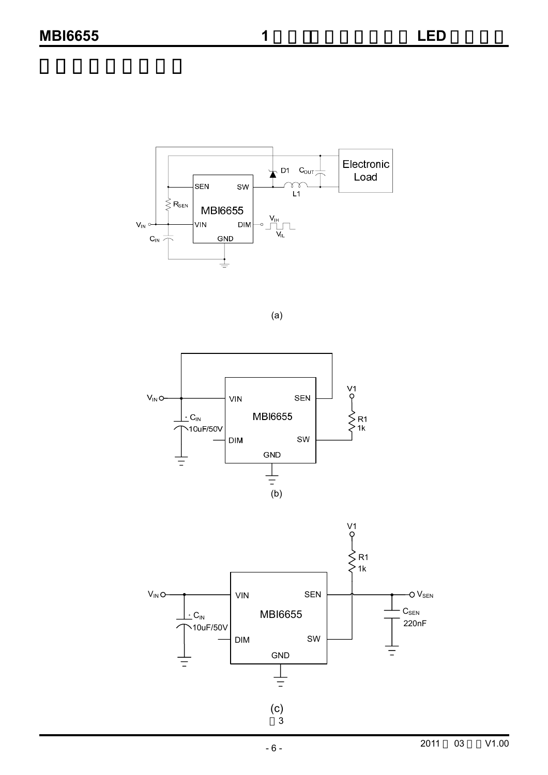Electronic  $\downarrow$  D1 Cour $\frac{1}{\sqrt{2}}$ Load  $\begin{array}{c}\n\curvearrowleft \\
\begin{array}{c}\n\curvearrowleft\n\end{array}\n\end{array}$ SEN **SW**  $\lessgtr$  R<sub>SEN</sub> **MBI6655**  $V_{\text{IH}}$ VIN  $V_{\text{IN}}$ **DIM**  $\Box$  $C_{IN} \nightharpoonup^{\perp}$ GND

(a)



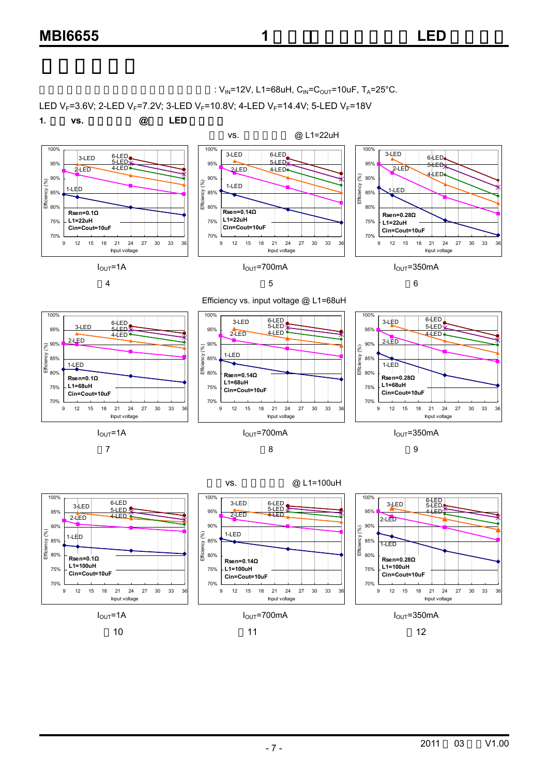



10 11 12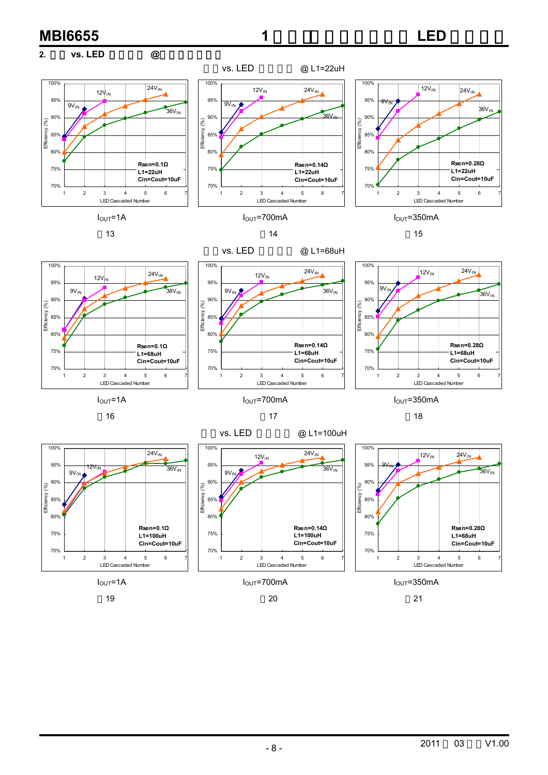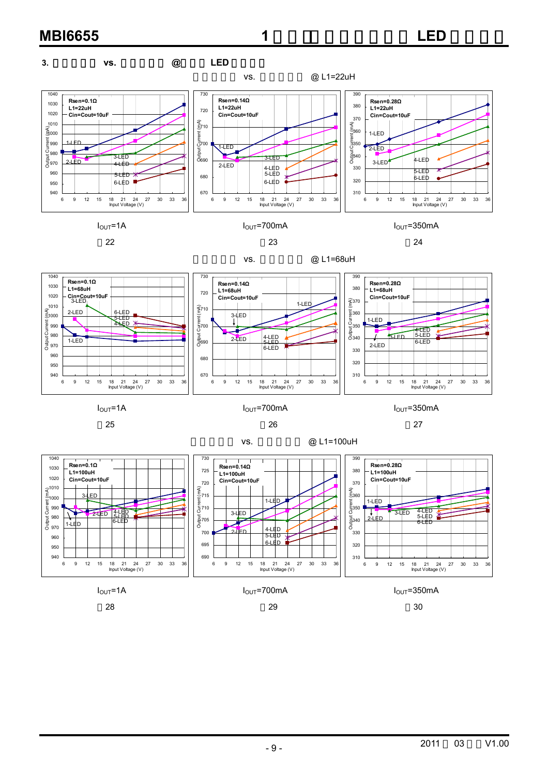

 $I_{\text{OUT}}$ =1A  $I_{\text{OUT}}$ =700mA  $I_{\text{OUT}}$ =350mA

28 29 30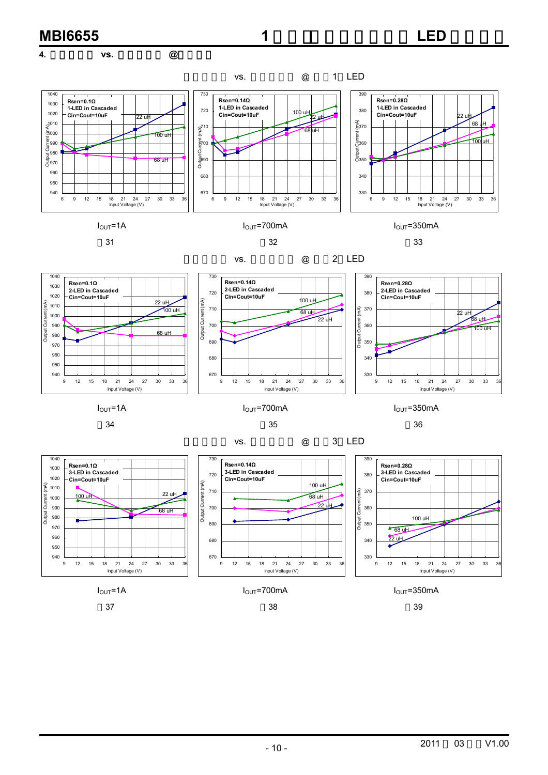

2011 03 V1.00

 $I_{\text{OUT}}$ =1A  $I_{\text{OUT}}$ =700mA  $I_{\text{OUT}}$ =350mA 37 38 39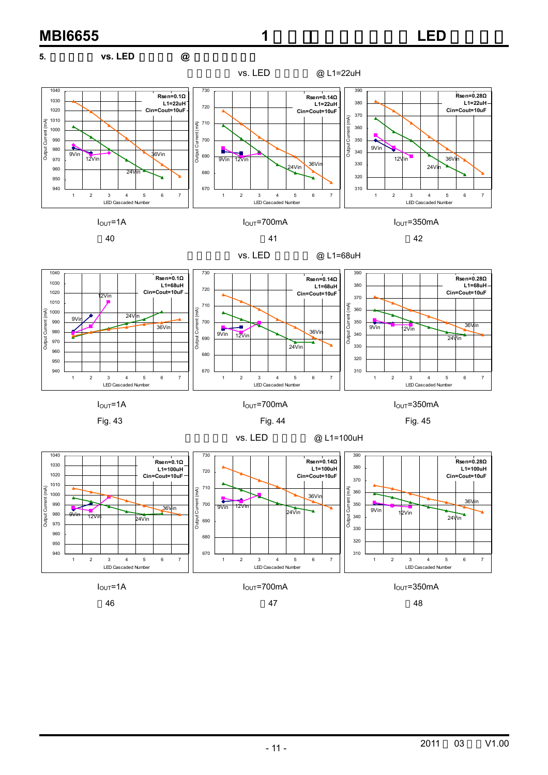

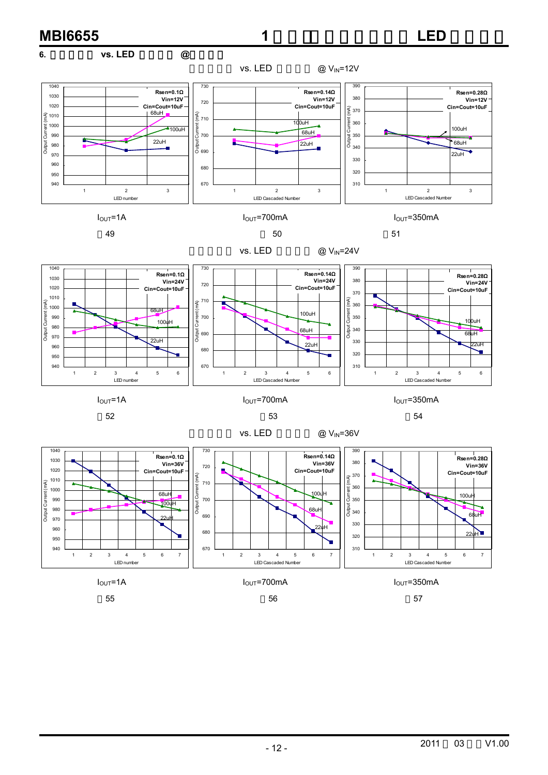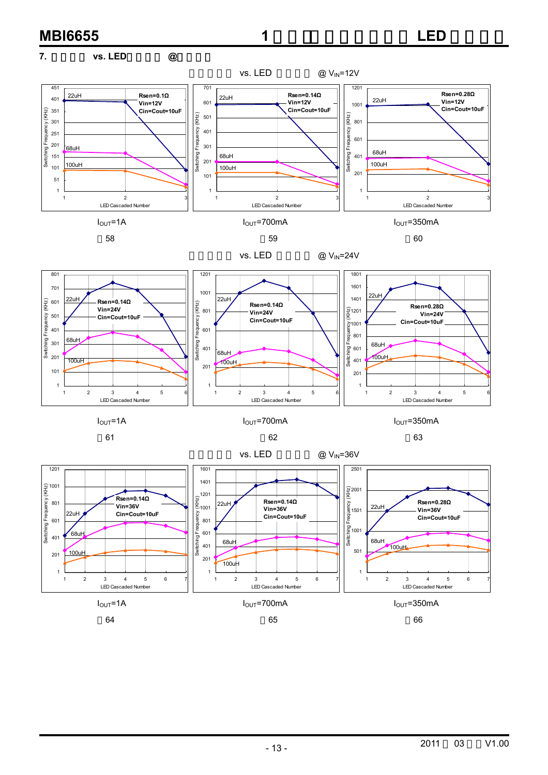#### **MBI6655 1** 2012年2月11日 1 2012年2月11日 1 2012年2月11日 1 2012年2月11日 1 2012年2月11日 1 2012年2月11日 1 2012年2月11日 1 2012年2月 **7.** 切换频率 **vs. LED**串联颗数 **@**不同电感 vs. LED  $\qquad \qquad \textcircled{v}_{\text{IN}}$ =12V 451 701 1201 **Rsen=0.14Ω Rsen=0.28Ω** 22uH **Rsen=0.1Ω** 22uH 401 22uH **Vin=12V Vin=12V** 601 **Vin=12V** 1001 **Cin=Cout=10uF Cin=Cout=10uF Cin=Cout=10uF** Switching Frequency (KHz) 351  $\frac{\widehat{N}}{\Sigma}$  501  $\begin{array}{c}\n\overline{2} \\
\overline{2} \\
801\n\end{array}$ Switching Frequency (KHz) Switching Frequency (KHz) 301 Youe 401 Frequency 251 601 Frequ 201  $\frac{1}{68}$ uH 301 Switching 68uH Switching witching 68uH 151 401 201 100uH 100uH 101 100uH 201 101 51 1 1 1 1 2 3 1 2 3 1 2 3 LED Cascaded Number LED Cascaded Number LED Cascaded Number  $I_{\text{OUT}}$ =1A  $I_{\text{OUT}}$ =700mA  $I_{\text{OUT}}$ =350mA 58 59 60 vs. LED  $@V_{IN}=24V$ 801 1201 1801 1601 701 1001 22uH 22uH 22uH 1401  $(KHz)$ 601 **Rsen=0.14Ω** Switching Frequency (KHz)  $\frac{1}{2}$  801 **Rsen=0.14Ω** Switching Frequency (KHz) **Rsen=0.28Ω Vin=24V**  $\frac{1}{2}$ 1201 Switching Frequency (KHz) **Vin=24V Vin=24V** Frequency 501 **Cin=Cout=10uF** Fequency **Cin=Cout=10uF Cin=Cout=10uF**  $\frac{8}{2}1001$ 401 ende<br>|-<br>|-68uH Switching 301 vitching 68uH 401 601 68uH 100uH 201  $100uH$  $100uH$ 401 201 101 201 1 1 1 123456 123456 123456 LED Cascaded Number LED Cascaded Number LED Cascaded Number  $I_{\text{OUT}}$ =1A  $I_{\text{OUT}}$ =700mA  $I_{\text{OUT}}$ =350mA 61 62 63

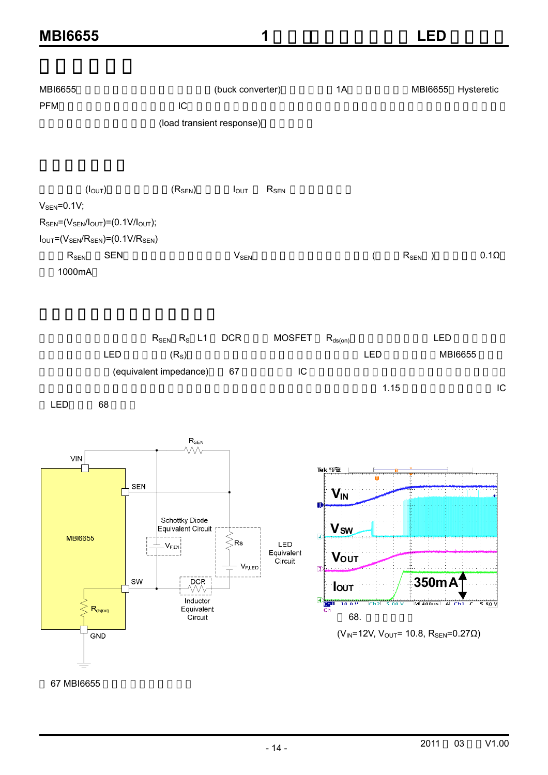| <b>MBI6655</b>                                                                                                                                                                                                                                  |                                                                                                                                                     |                        | 1                            |                                                                                                                                                                          | <b>LED</b>                                                                                                           |    |
|-------------------------------------------------------------------------------------------------------------------------------------------------------------------------------------------------------------------------------------------------|-----------------------------------------------------------------------------------------------------------------------------------------------------|------------------------|------------------------------|--------------------------------------------------------------------------------------------------------------------------------------------------------------------------|----------------------------------------------------------------------------------------------------------------------|----|
| <b>MBI6655</b><br><b>PFM</b>                                                                                                                                                                                                                    | IC<br>(load transient response)                                                                                                                     | (buck converter)       |                              | 1A                                                                                                                                                                       | MBI6655 Hysteretic                                                                                                   |    |
| (I <sub>OUT</sub> )<br>$V_{\text{SEN}} = 0.1V$ ;<br>$R_{\text{SEN}} = (V_{\text{SEN}}/I_{\text{OUT}}) = (0.1 V/I_{\text{OUT}});$<br>$I_{\text{OUT}}=(V_{\text{SEN}}/R_{\text{SEN}})=(0.1V/R_{\text{SEN}})$<br><b>SEN</b><br>$R_{SEN}$<br>1000mA | (R <sub>SEN</sub> )                                                                                                                                 | $I_{OUT}$<br>$V_{SEN}$ | $R_{SEN}$                    | $\overline{(\ }$                                                                                                                                                         | $R_{SEN}$ )<br>$0.1\Omega$                                                                                           |    |
| LED<br>LED<br>68                                                                                                                                                                                                                                | $R_{SEN}$ $R_S$ $L1$<br>(R <sub>S</sub> )<br>(equivalent impedance)                                                                                 | <b>DCR</b><br>67       | <b>MOSFET</b><br>${\sf IC}$  | $R_{ds(on)}$<br>LED                                                                                                                                                      | LED<br>MBI6655<br>1.15                                                                                               | IC |
| $\ensuremath{\mathsf{V}}\xspace\ensuremath{\mathsf{IN}}\xspace$<br><b>MBI6655</b><br>$R_{ds(on)}$<br>GND<br>67 MBI6655                                                                                                                          | $R_{\text{SEN}}$<br>WV<br>SEN<br>Schottky Diode<br>Equivalent Circuit<br>$V_{F, D1}$<br>SW<br><b>DCR</b><br>WV<br>Inductor<br>Equivalent<br>Circuit | Rs.<br>$V_{F,LED}$     | LED<br>Equivalent<br>Circuit | Tek 預覧<br>$V_{IN}$<br>D<br><b>V<sub>sw</sub></b><br>$\sqrt{2}$<br><b>VOUT</b><br>$\sqrt{3}$<br><b>lout</b><br>$\frac{4}{\frac{C h^{1}}{C h^{1}}}$<br>10.0V<br>Ch2<br>68. | 350mA<br>$M400us$ A Ch1 $\overline{f}$<br>5.00V<br>5.80 V<br>$(V_{IN} = 12V, V_{OUT} = 10.8, R_{SEN} = 0.27 \Omega)$ |    |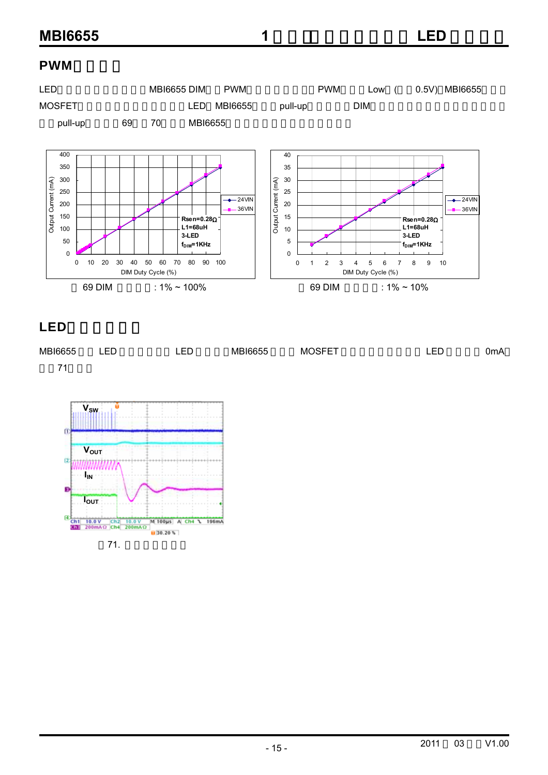#### **PWM**



## LED

| MBI6655 | LED | FD.<br>--- | MBI6655 | <b>MOSFET</b> | FГ | 0mA |
|---------|-----|------------|---------|---------------|----|-----|
| 74      |     |            |         |               |    |     |

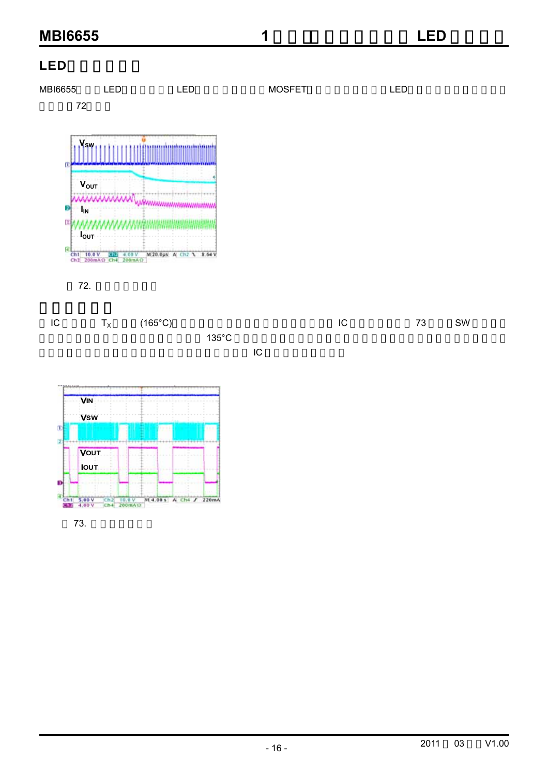## LED





73.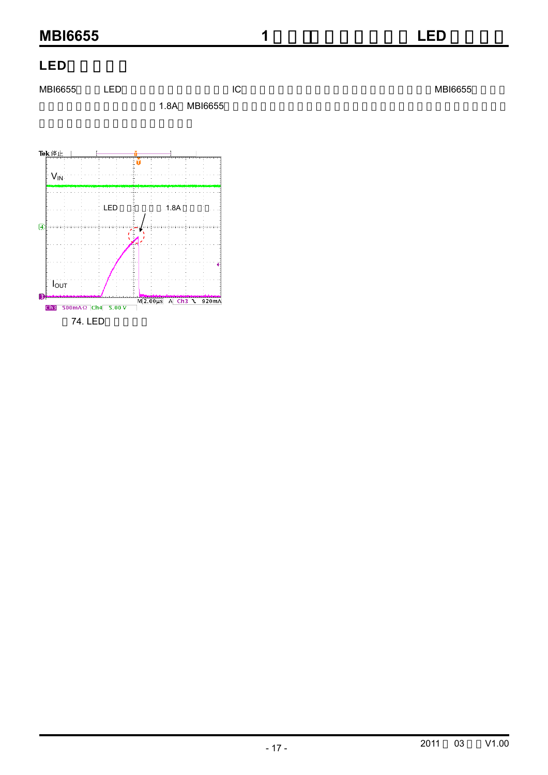#### LED

 $\mathsf{MBI6655}$  LED LC REGIST REPORTED NETWORK AND LOTE RELATED MBI6655

1.8A MBI6655

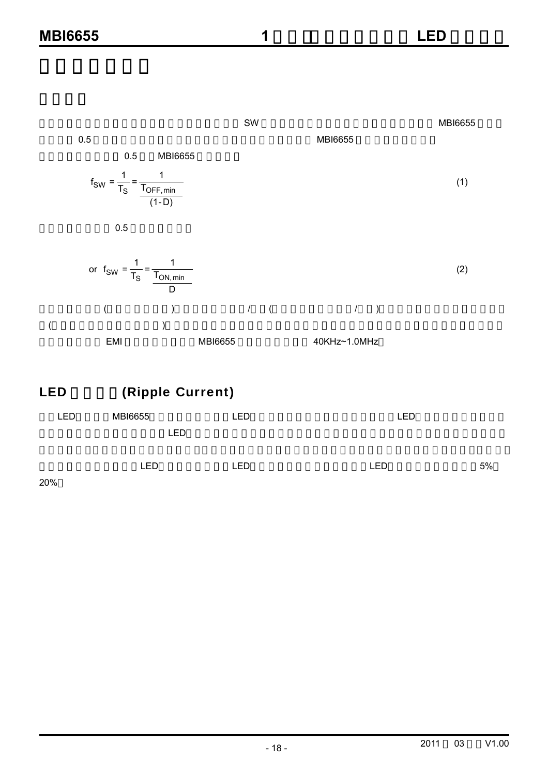0.5 MBI6655  
\n0.5 MBI6655  
\n
$$
f_{SW} = \frac{1}{T_S} = \frac{1}{\frac{T_{OFF,min}}{(1-D)}}
$$
 (1)  
\n0.5  
\n0.5  
\n0.5  
\n0.6  
\n(2)

D 切换频率与效率(低频的效率较好),外部组件的大小/费用(高频使用的组件较小/便宜),以及输出涟波电压及电流的大 (高频时涟波电压及电流较小)等因素有关。如要得到较低的切换频率可使用感值较高的电感。在许多应用中,切换 频率的决定会与 EMI 干扰的大小有关。MBI6655 的切换频率范围为 40KHz~1.0MHz

## LED (Ripple Current)

| <b>LED</b> | <b>MBI6655</b> | <b>LED</b> | LED |    |
|------------|----------------|------------|-----|----|
|            | LED            |            |     |    |
|            |                |            |     |    |
|            | <b>LED</b>     | <b>LED</b> | LED | 5% |

20%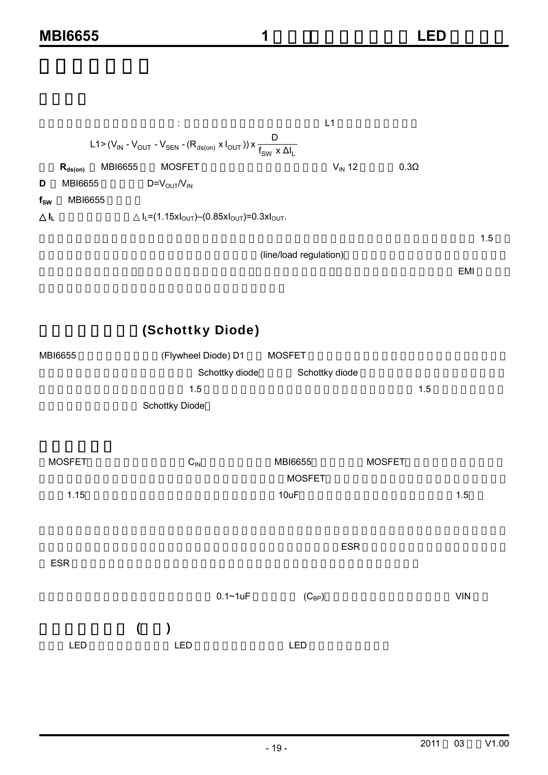|          |                                |                                                                                                                                               | L1                     |             |     |
|----------|--------------------------------|-----------------------------------------------------------------------------------------------------------------------------------------------|------------------------|-------------|-----|
|          |                                | L1>(V <sub>IN</sub> - V <sub>OUT</sub> - V <sub>SEN</sub> - (R <sub>ds(on)</sub> x l <sub>OUT</sub> )) x $\frac{D}{f_{SW} \times \Delta I_L}$ |                        |             |     |
|          | <b>MBI6655</b><br>$R_{ds(on)}$ | <b>MOSFET</b>                                                                                                                                 | $V_{\text{IN}}$ 12     | $0.3\Omega$ |     |
| D        | MBI6655                        | $D=V_{\text{OUT}}/V_{\text{IN}}$                                                                                                              |                        |             |     |
| $f_{SW}$ | MBI6655                        |                                                                                                                                               |                        |             |     |
| ΙL,      |                                | $I_L = (1.15xI_{OUT}) - (0.85xI_{OUT}) = 0.3xI_{OUT}$ .                                                                                       |                        |             |     |
|          |                                |                                                                                                                                               |                        |             | 1.5 |
|          |                                |                                                                                                                                               | (line/load regulation) |             |     |

 $\mathbb{R}$  emitted when  $\mathbb{R}$  emitted  $\mathbb{R}$  emitted when  $\mathbb{R}$  emitted  $\mathbb{R}$  emitted when  $\mathbb{R}$  emitted when  $\mathbb{R}$  emitted when  $\mathbb{R}$  emitted with  $\mathbb{R}$  emitted with  $\mathbb{R}$  emitted with  $\mathbb{R}$  em

## (Schottky Diode)

|                            | <b>MOSFET</b>                                    |                                                                    |
|----------------------------|--------------------------------------------------|--------------------------------------------------------------------|
|                            | Schottky diode                                   |                                                                    |
| $1.5$                      |                                                  | 1.5                                                                |
| Schottky Diode             |                                                  |                                                                    |
| $\mathsf{C}_{\mathsf{IN}}$ | <b>MOSFET</b><br><b>MBI6655</b><br><b>MOSFET</b> |                                                                    |
|                            | 10uF                                             | 1.5                                                                |
|                            |                                                  |                                                                    |
|                            |                                                  |                                                                    |
|                            | $(C_{BP})$                                       | <b>VIN</b>                                                         |
| $\overline{(\ }$<br>LED    | <b>LED</b>                                       |                                                                    |
|                            |                                                  | (Flywheel Diode) D1<br>Schottky diode<br><b>ESR</b><br>$0.1 - 1uF$ |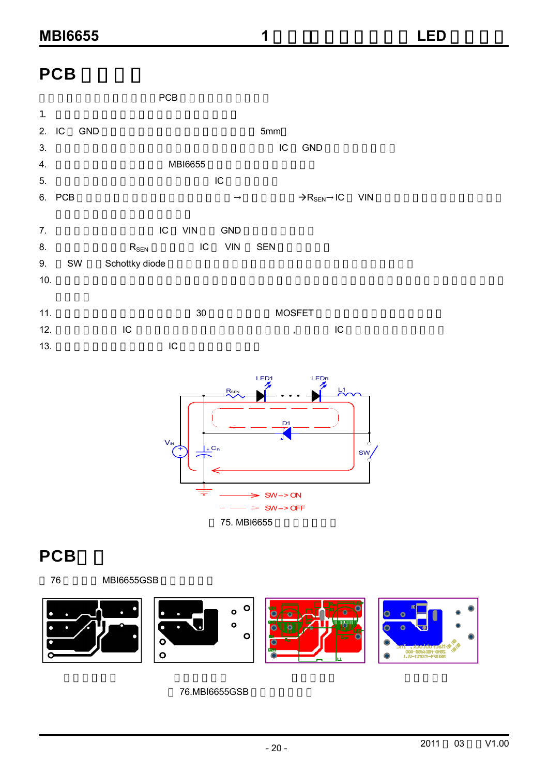## **PCB**





# **PCB**



#### 76.MBI6655GSB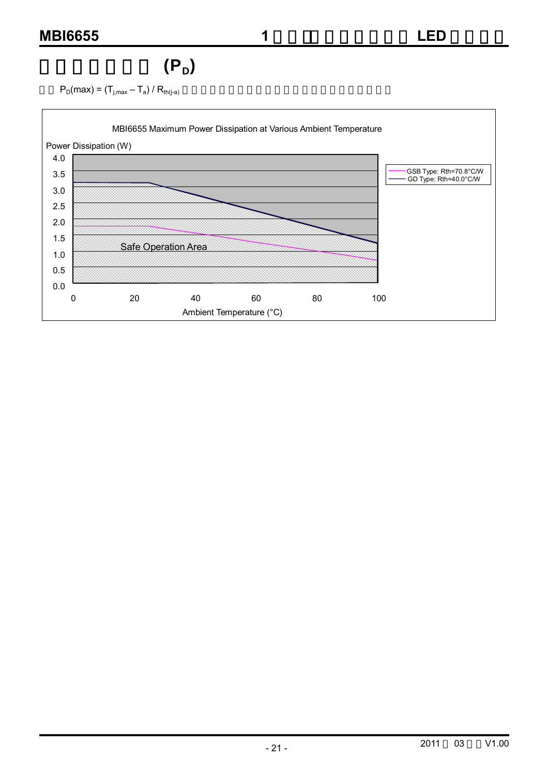# $(P_D)$

 $P_D(max) = (T_{j,max} - T_a) / R_{th(j-a)}$ 

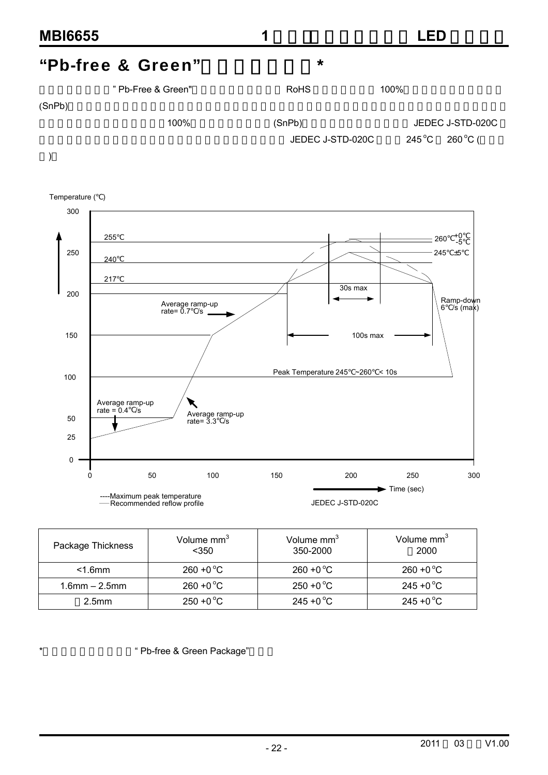





| Package Thickness   | Volume mm <sup>3</sup><br>$350$ | Volume mm <sup>3</sup><br>350-2000 | Volume mm <sup>3</sup><br>2000 |
|---------------------|---------------------------------|------------------------------------|--------------------------------|
| $<$ 1.6 $mm$        | $260 + 0^{\circ}C$              | $260 + 0^{\circ}C$                 | $260 + 0^{\circ}C$             |
| $1.6$ mm $- 2.5$ mm | $260 + 0^{\circ}C$              | $250 + 0$ °C                       | $245 + 0$ °C                   |
| 2.5 <sub>mm</sub>   | $250 + 0^{\circ}C$              | $245 + 0^{\circ}C$                 | $245 + 0^{\circ}C$             |

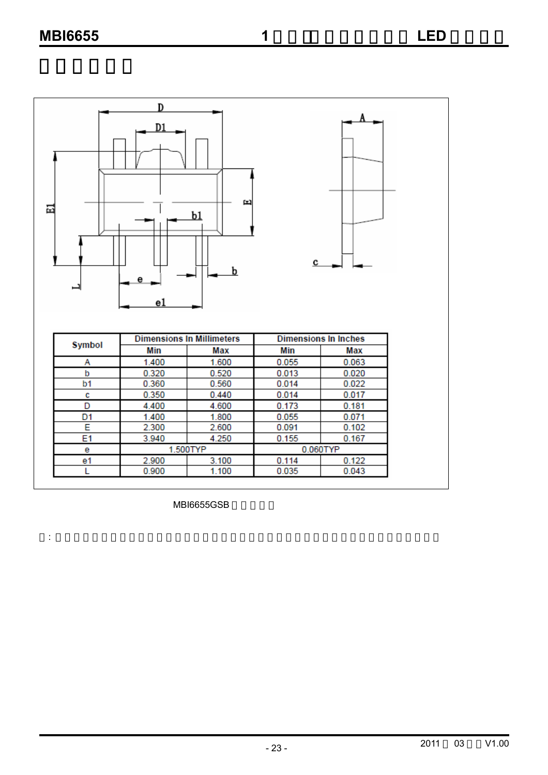

MBI6655GSB

: 散热片布局须采用最大尺寸范围,且为防止短路,应避免线路设计经过散热片的最大尺寸范围。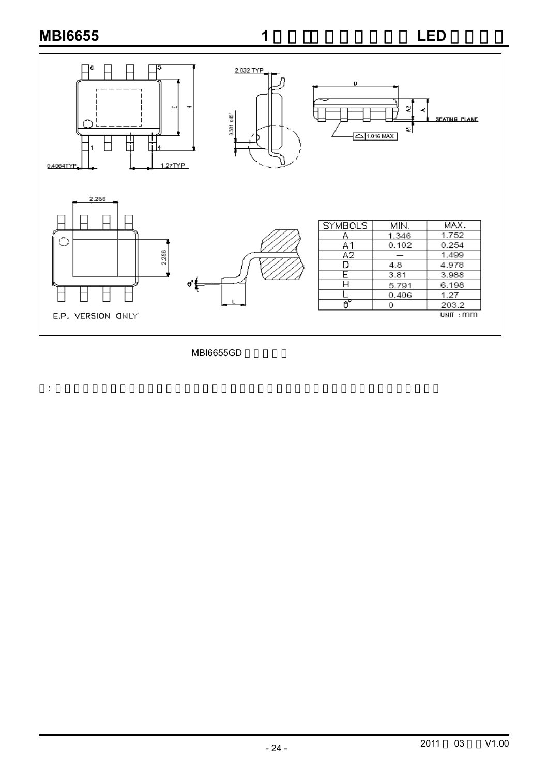

MBI6655GD

: 散热片布局须采用最大尺寸范围,且为防止短路,应避免线路设计经过散热片的最大尺寸范围。